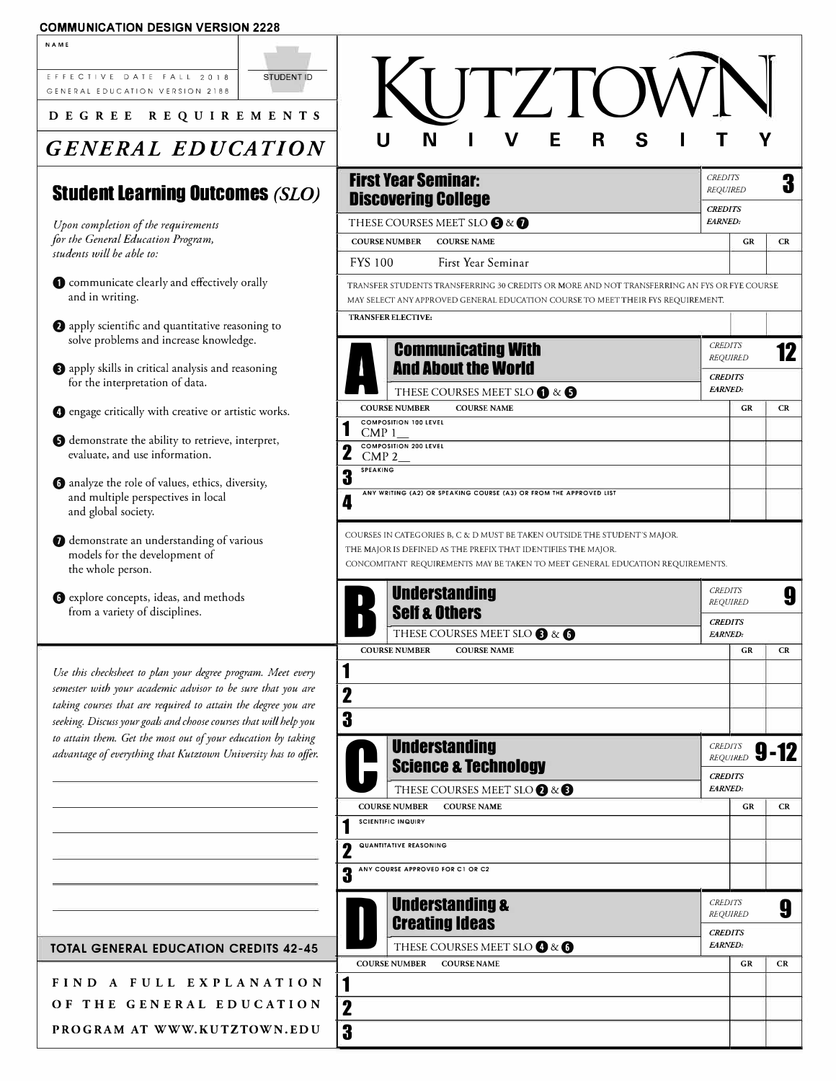### **COMMUNICATION DESIGN VERSION 2228**

| <b>NAME</b>                                                                                                                  |                   |                 |                                                                                                                                                                                                                             |                                                     |                 |      |
|------------------------------------------------------------------------------------------------------------------------------|-------------------|-----------------|-----------------------------------------------------------------------------------------------------------------------------------------------------------------------------------------------------------------------------|-----------------------------------------------------|-----------------|------|
| EFFECTIVE DATE FALL 2018<br>GENERAL EDUCATION VERSION 2188                                                                   | <b>STUDENT ID</b> |                 | <b>IJTZTOV</b>                                                                                                                                                                                                              |                                                     |                 |      |
| DEGREE REQUIREMENTS                                                                                                          |                   |                 |                                                                                                                                                                                                                             |                                                     |                 |      |
| <b>GENERAL EDUCATION</b>                                                                                                     |                   |                 | $\mathbf v$<br>E<br>$\mathbf R$<br>S<br>N<br>U                                                                                                                                                                              |                                                     |                 |      |
| <b>Student Learning Outcomes (SLO)</b>                                                                                       |                   |                 | <b>First Year Seminar:</b><br><b>Discovering College</b>                                                                                                                                                                    | <b>CREDITS</b><br><b>REQUIRED</b><br><b>CREDITS</b> |                 | 3    |
| Upon completion of the requirements                                                                                          |                   |                 | THESE COURSES MEET SLO $\bigcirc$ & $\bigcirc$                                                                                                                                                                              | EARNED:                                             |                 |      |
| for the General Education Program,<br>students will be able to:                                                              |                   |                 | <b>COURSE NUMBER</b><br><b>COURSE NAME</b>                                                                                                                                                                                  |                                                     | <b>GR</b>       | CR   |
|                                                                                                                              |                   | <b>FYS 100</b>  | First Year Seminar                                                                                                                                                                                                          |                                                     |                 |      |
| Communicate clearly and effectively orally<br>and in writing.                                                                |                   |                 | TRANSFER STUDENTS TRANSFERRING 30 CREDITS OR MORE AND NOT TRANSFERRING AN FYS OR FYE COURSE<br>MAY SELECT ANY APPROVED GENERAL EDUCATION COURSE TO MEET THEIR FYS REQUIREMENT.<br>TRANSFER ELECTIVE:                        |                                                     |                 |      |
| apply scientific and quantitative reasoning to<br>solve problems and increase knowledge.                                     |                   |                 |                                                                                                                                                                                                                             |                                                     |                 |      |
|                                                                                                                              |                   |                 | <b>Communicating With</b>                                                                                                                                                                                                   | <b>CREDITS</b>                                      | <b>REQUIRED</b> | 12   |
| apply skills in critical analysis and reasoning<br>for the interpretation of data.                                           |                   |                 | <b>And About the World</b>                                                                                                                                                                                                  |                                                     | <b>CREDITS</b>  |      |
|                                                                                                                              |                   |                 | THESE COURSES MEET SLO 1 & 5<br><b>COURSE NAME</b><br><b>COURSE NUMBER</b>                                                                                                                                                  | EARNED:                                             | <b>GR</b>       | CR   |
| <b>O</b> engage critically with creative or artistic works.                                                                  |                   |                 | <b>COMPOSITION 100 LEVEL</b>                                                                                                                                                                                                |                                                     |                 |      |
| <b>O</b> demonstrate the ability to retrieve, interpret,                                                                     |                   | 2               | CMP <sub>1</sub><br><b>COMPOSITION 200 LEVEL</b>                                                                                                                                                                            |                                                     |                 |      |
| evaluate, and use information.                                                                                               |                   | <b>SPEAKING</b> | $CMP$ 2                                                                                                                                                                                                                     |                                                     |                 |      |
| <b>O</b> analyze the role of values, ethics, diversity,<br>and multiple perspectives in local<br>and global society.         |                   | 3<br>4          | ANY WRITING (A2) OR SPEAKING COURSE (A3) OR FROM THE APPROVED LIST                                                                                                                                                          |                                                     |                 |      |
| demonstrate an understanding of various<br>models for the development of<br>the whole person.                                |                   |                 | COURSES IN CATEGORIES B, C & D MUST BE TAKEN OUTSIDE THE STUDENT'S MAJOR.<br>THE MAJOR IS DEFINED AS THE PREFIX THAT IDENTIFIES THE MAJOR.<br>CONCOMITANT REQUIREMENTS MAY BE TAKEN TO MEET GENERAL EDUCATION REQUIREMENTS. |                                                     |                 |      |
| So explore concepts, ideas, and methods<br>from a variety of disciplines.                                                    |                   |                 | <b>Understanding</b><br><b>Self &amp; Others</b>                                                                                                                                                                            | <b>CREDITS</b>                                      | <b>REQUIRED</b> | 9    |
|                                                                                                                              |                   |                 | THESE COURSES MEET SLO <sup>8</sup> & <sup>6</sup>                                                                                                                                                                          | <b>CREDITS</b><br>EARNED:                           |                 |      |
|                                                                                                                              |                   |                 | <b>COURSE NUMBER</b><br><b>COURSE NAME</b>                                                                                                                                                                                  |                                                     | GR              | CR   |
| Use this checksheet to plan your degree program. Meet every                                                                  |                   | 1               |                                                                                                                                                                                                                             |                                                     |                 |      |
| semester with your academic advisor to be sure that you are<br>taking courses that are required to attain the degree you are |                   | $\mathbf 2$     |                                                                                                                                                                                                                             |                                                     |                 |      |
| seeking. Discuss your goals and choose courses that will help you                                                            |                   | 3               |                                                                                                                                                                                                                             |                                                     |                 |      |
| to attain them. Get the most out of your education by taking                                                                 |                   |                 | <b>Understanding</b>                                                                                                                                                                                                        | <b>CREDITS</b>                                      |                 |      |
| advantage of everything that Kutztown University has to offer.                                                               |                   |                 | <b>Science &amp; Technology</b>                                                                                                                                                                                             |                                                     | <b>REQUIRED</b> | 9-12 |
|                                                                                                                              |                   |                 | THESE COURSES MEET SLO $\bigcirc$ & $\bigcirc$                                                                                                                                                                              | <b>CREDITS</b><br>EARNED:                           |                 |      |
|                                                                                                                              |                   |                 | <b>COURSE NUMBER</b><br><b>COURSE NAME</b>                                                                                                                                                                                  |                                                     | <b>GR</b>       | CR   |
|                                                                                                                              |                   |                 | <b>SCIENTIFIC INQUIRY</b>                                                                                                                                                                                                   |                                                     |                 |      |
|                                                                                                                              |                   | 2               | <b>QUANTITATIVE REASONING</b>                                                                                                                                                                                               |                                                     |                 |      |
|                                                                                                                              |                   | 3               | ANY COURSE APPROVED FOR C1 OR C2                                                                                                                                                                                            |                                                     |                 |      |
|                                                                                                                              |                   |                 | <b>Understanding &amp;</b><br><b>Creating Ideas</b>                                                                                                                                                                         | <b>CREDITS</b>                                      | <b>REQUIRED</b> | 9    |
| <b>TOTAL GENERAL EDUCATION CREDITS 42-45</b>                                                                                 |                   |                 | THESE COURSES MEET SLO $\bigcirc$ & $\bigcirc$                                                                                                                                                                              | <b>CREDITS</b><br><b>EARNED:</b>                    |                 |      |
|                                                                                                                              |                   |                 | <b>COURSE NUMBER</b><br><b>COURSE NAME</b>                                                                                                                                                                                  |                                                     | GR              | CR   |
| FIND A FULL EXPLANATION                                                                                                      |                   | 1               |                                                                                                                                                                                                                             |                                                     |                 |      |
| OF THE GENERAL EDUCATION                                                                                                     |                   | 2               |                                                                                                                                                                                                                             |                                                     |                 |      |
| PROGRAM AT WWW.KUTZTOWN.EDU                                                                                                  |                   | 3               |                                                                                                                                                                                                                             |                                                     |                 |      |
|                                                                                                                              |                   |                 |                                                                                                                                                                                                                             |                                                     |                 |      |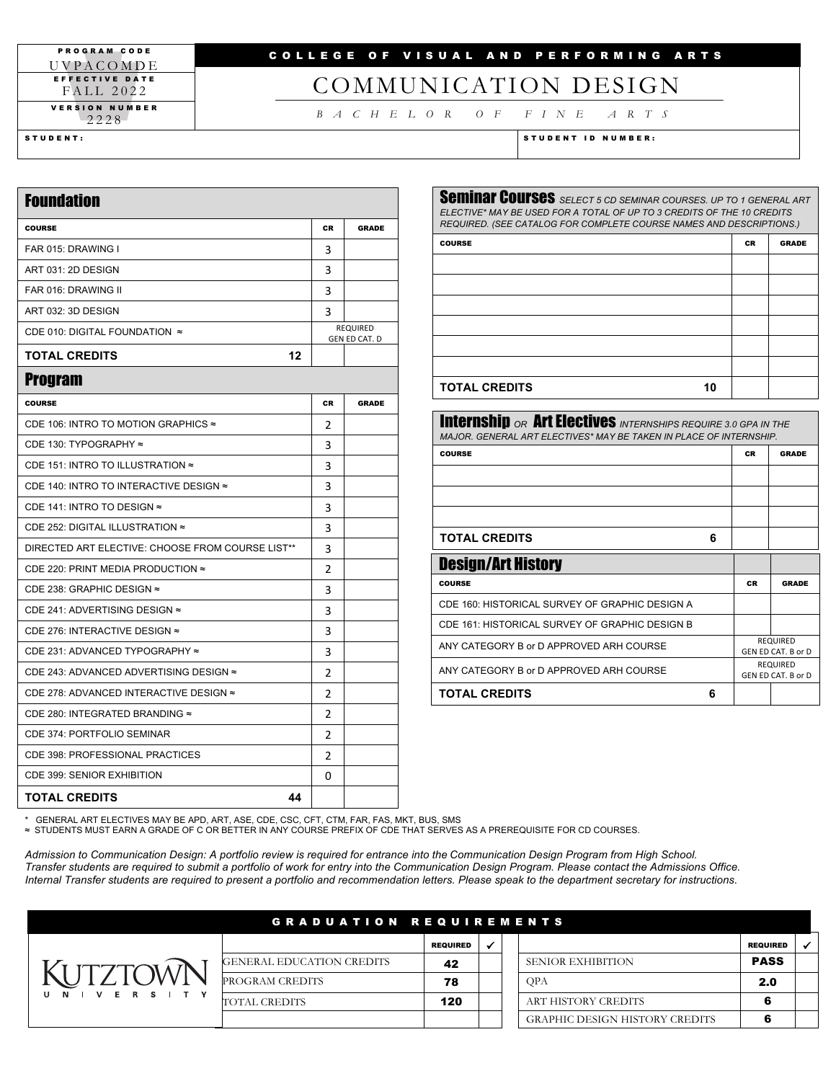#### PROGRAM CODE UVPACOMD E EFFECTIVE DATE FALL 20 2 2 VERSION NUMBER 2 2 2 8

## COLLEGE OF VISUAL AND PERFORMING ARTS

# COMMUNICATION DESIGN

*BACHELOR OF FINE ARTS*

STUDENT: STUDENT ID NUMBER:

| <b>Foundation</b>                                |    |                                  |
|--------------------------------------------------|----|----------------------------------|
| <b>COURSE</b>                                    | CR | <b>GRADE</b>                     |
| FAR 015: DRAWING I                               | 3  |                                  |
| ART 031: 2D DESIGN                               | 3  |                                  |
| FAR 016: DRAWING II                              | 3  |                                  |
| ART 032: 3D DESIGN                               | 3  |                                  |
| CDE 010: DIGITAL FOUNDATION $\approx$            |    | <b>REQUIRED</b><br>GEN ED CAT. D |
| <b>TOTAL CREDITS</b><br>12                       |    |                                  |
| <b>Program</b>                                   |    |                                  |
| <b>COURSE</b>                                    | CR | <b>GRADE</b>                     |
| CDE 106: INTRO TO MOTION GRAPHICS ≈              | 2  |                                  |
| CDE 130: TYPOGRAPHY ≈                            | 3  |                                  |
| CDE 151: INTRO TO ILLUSTRATION ≈                 | 3  |                                  |
| CDE 140: INTRO TO INTERACTIVE DESIGN ≈           | 3  |                                  |
| CDE 141: INTRO TO DESIGN $\approx$               | 3  |                                  |
| CDE 252: DIGITAL ILLUSTRATION $\approx$          | 3  |                                  |
| DIRECTED ART ELECTIVE: CHOOSE FROM COURSE LIST** | 3  |                                  |
| CDE 220: PRINT MEDIA PRODUCTION ≈                | 2  |                                  |
| CDE 238: GRAPHIC DESIGN ≈                        | 3  |                                  |
| CDE 241: ADVERTISING DESIGN ≈                    | 3  |                                  |
| CDE 276: INTERACTIVE DESIGN ≈                    | 3  |                                  |
| CDE 231: ADVANCED TYPOGRAPHY ≈                   | 3  |                                  |
| CDE 243: ADVANCED ADVERTISING DESIGN ≈           | 2  |                                  |
| CDE 278: ADVANCED INTERACTIVE DESIGN ≈           | 2  |                                  |
| CDE 280: INTEGRATED BRANDING ≈                   | 2  |                                  |
| CDE 374: PORTFOLIO SEMINAR                       | 2  |                                  |
| CDE 398: PROFESSIONAL PRACTICES                  | 2  |                                  |
| <b>CDE 399: SENIOR EXHIBITION</b>                | 0  |                                  |
| <b>TOTAL CREDITS</b><br>44                       |    |                                  |

| <b>Seminar Courses</b> SELECT 5 CD SEMINAR COURSES. UP TO 1 GENERAL ART<br>ELECTIVE* MAY BE USED FOR A TOTAL OF UP TO 3 CREDITS OF THE 10 CREDITS<br>REQUIRED. (SEE CATALOG FOR COMPLETE COURSE NAMES AND DESCRIPTIONS.) |           |              |
|--------------------------------------------------------------------------------------------------------------------------------------------------------------------------------------------------------------------------|-----------|--------------|
| <b>COURSE</b>                                                                                                                                                                                                            | <b>CR</b> | <b>GRADE</b> |
|                                                                                                                                                                                                                          |           |              |
|                                                                                                                                                                                                                          |           |              |
|                                                                                                                                                                                                                          |           |              |
|                                                                                                                                                                                                                          |           |              |
|                                                                                                                                                                                                                          |           |              |
|                                                                                                                                                                                                                          |           |              |

### **TOTAL CREDITS 10**

| <b>Internship OR Art Electives</b> INTERNSHIPS REQUIRE 3.0 GPA IN THE<br>MAJOR, GENERAL ART ELECTIVES* MAY BE TAKEN IN PLACE OF INTERNSHIP |   |           |                                       |
|--------------------------------------------------------------------------------------------------------------------------------------------|---|-----------|---------------------------------------|
| <b>COURSE</b>                                                                                                                              |   | <b>CR</b> | <b>GRADE</b>                          |
|                                                                                                                                            |   |           |                                       |
|                                                                                                                                            |   |           |                                       |
|                                                                                                                                            |   |           |                                       |
| <b>TOTAL CREDITS</b>                                                                                                                       | 6 |           |                                       |
| <b>Design/Art History</b>                                                                                                                  |   |           |                                       |
| <b>COURSE</b>                                                                                                                              |   | <b>CR</b> | <b>GRADE</b>                          |
| CDE 160: HISTORICAL SURVEY OF GRAPHIC DESIGN A                                                                                             |   |           |                                       |
| CDE 161: HISTORICAL SURVEY OF GRAPHIC DESIGN B                                                                                             |   |           |                                       |
| ANY CATEGORY B or D APPROVED ARH COURSE                                                                                                    |   |           | <b>REQUIRED</b><br>GEN ED CAT. B or D |
| ANY CATEGORY B or D APPROVED ARH COURSE                                                                                                    |   |           | <b>REQUIRED</b><br>GEN ED CAT. B or D |
| <b>TOTAL CREDITS</b>                                                                                                                       | 6 |           |                                       |

\* GENERAL ART ELECTIVES MAY BE APD, ART, ASE, CDE, CSC, CFT, CTM, FAR, FAS, MKT, BUS, SMS ≈ STUDENTS MUST EARN A GRADE OF C OR BETTER IN ANY COURSE PREFIX OF CDE THAT SERVES AS A PREREQUISITE FOR CD COURSES.

*Admission to Communication Design: A portfolio review is required for entrance into the Communication Design Program from High School. Transfer students are required to submit a portfolio of work for entry into the Communication Design Program. Please contact the Admissions Office. Internal Transfer students are required to present a portfolio and recommendation letters. Please speak to the department secretary for instructions.*

|                                 | <b>GRADUATION REQUIREMENTS</b>   |                 |  |                                       |                 |  |
|---------------------------------|----------------------------------|-----------------|--|---------------------------------------|-----------------|--|
|                                 |                                  | <b>REQUIRED</b> |  |                                       | <b>REQUIRED</b> |  |
|                                 | <b>GENERAL EDUCATION CREDITS</b> | 42              |  | SENIOR EXHIBITION                     | <b>PASS</b>     |  |
|                                 | PROGRAM CREDITS                  | 78              |  | <b>OPA</b>                            | 2.0             |  |
| E.<br>R S<br>$\mathbf{v}$<br>N. | <b>TOTAL CREDITS</b>             | 120             |  | ART HISTORY CREDITS                   | 6               |  |
|                                 |                                  |                 |  | <b>GRAPHIC DESIGN HISTORY CREDITS</b> | 6               |  |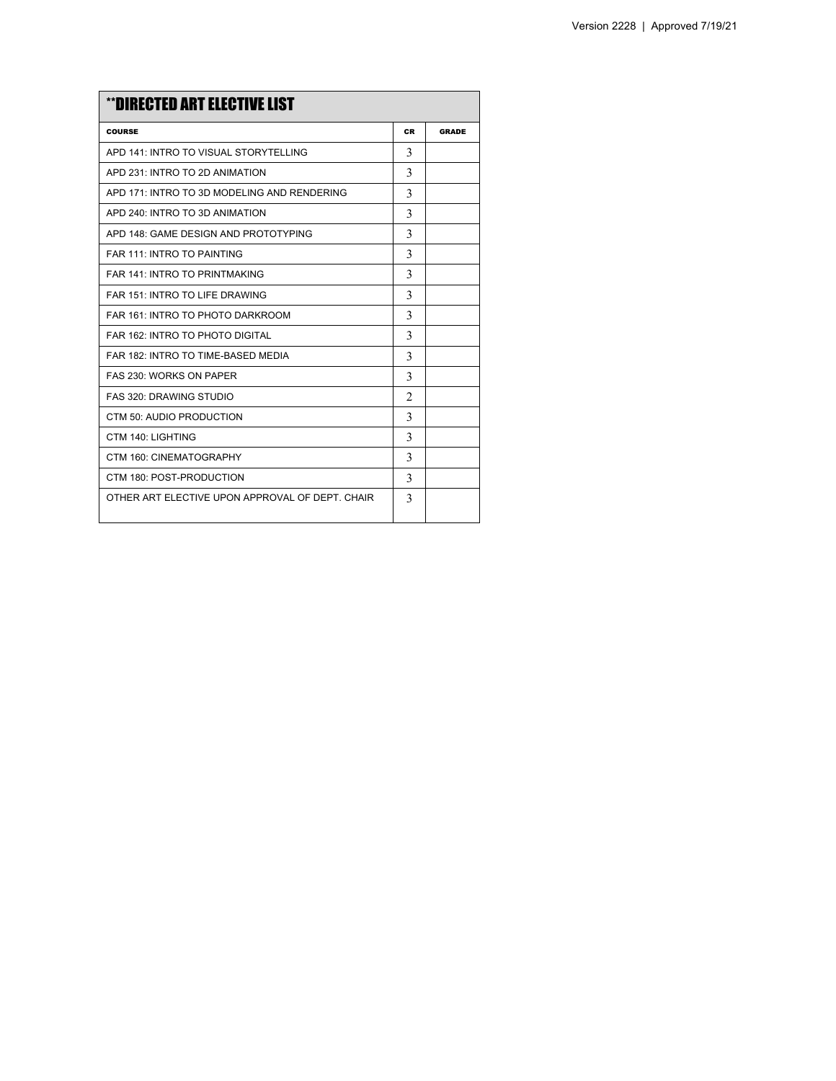| **DIRECTED ART ELECTIVE LIST                    |                |              |
|-------------------------------------------------|----------------|--------------|
| <b>COURSE</b>                                   | <b>CR</b>      | <b>GRADE</b> |
| APD 141: INTRO TO VISUAL STORYTELLING           | 3              |              |
| APD 231: INTRO TO 2D ANIMATION                  | 3              |              |
| APD 171: INTRO TO 3D MODELING AND RENDERING     | 3              |              |
| APD 240: INTRO TO 3D ANIMATION                  | 3              |              |
| APD 148: GAME DESIGN AND PROTOTYPING            | 3              |              |
| <b>FAR 111: INTRO TO PAINTING</b>               | 3              |              |
| FAR 141: INTRO TO PRINTMAKING                   | 3              |              |
| FAR 151: INTRO TO LIFE DRAWING                  | 3              |              |
| FAR 161: INTRO TO PHOTO DARKROOM                | 3              |              |
| FAR 162: INTRO TO PHOTO DIGITAL                 | 3              |              |
| FAR 182: INTRO TO TIME-BASED MEDIA              | 3              |              |
| FAS 230: WORKS ON PAPER                         | 3              |              |
| <b>FAS 320: DRAWING STUDIO</b>                  | $\mathfrak{D}$ |              |
| CTM 50: AUDIO PRODUCTION                        | 3              |              |
| CTM 140: LIGHTING                               | 3              |              |
| CTM 160: CINEMATOGRAPHY                         | 3              |              |
| CTM 180: POST-PRODUCTION                        | 3              |              |
| OTHER ART ELECTIVE UPON APPROVAL OF DEPT. CHAIR | 3              |              |